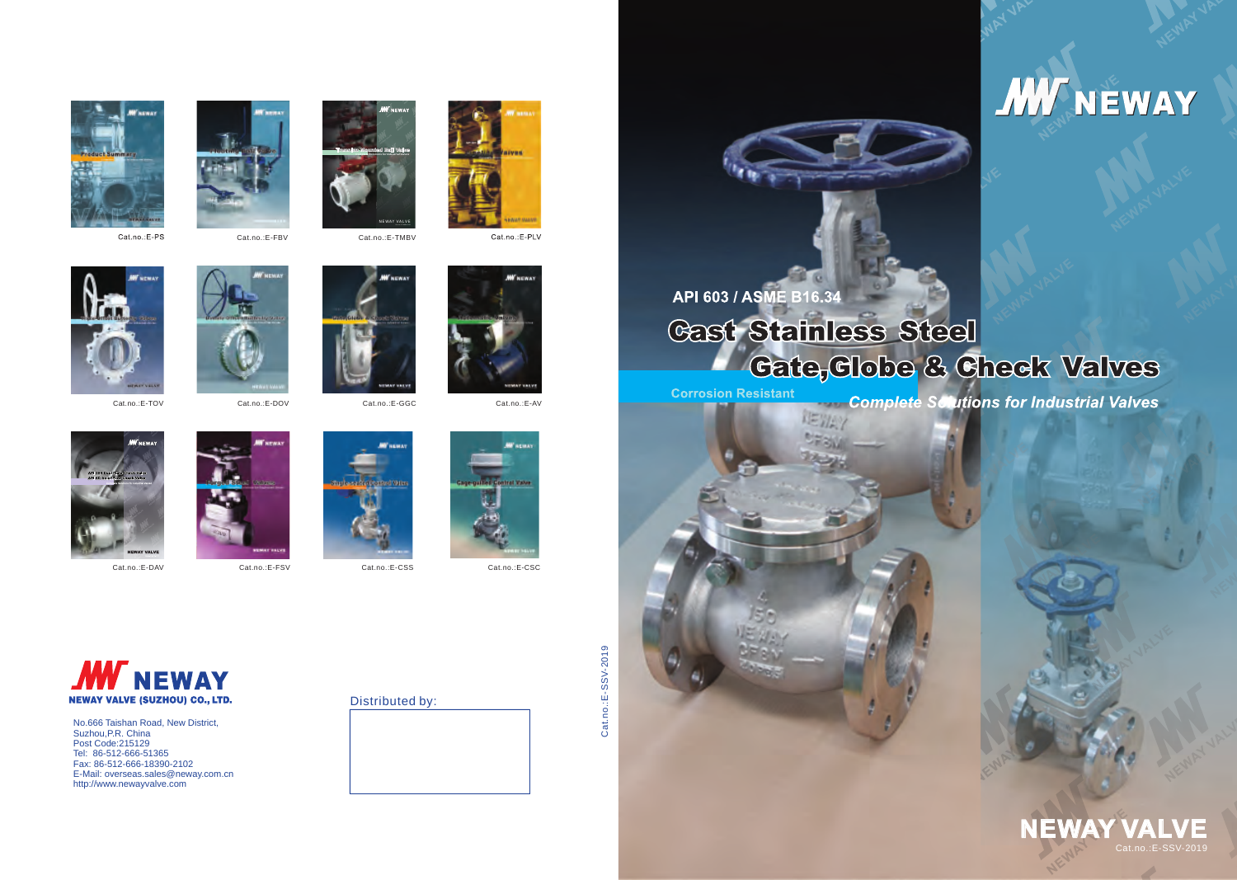No.666 Taishan Road, New District, Suzhou,P.R. China Post Code:215129 Tel: 86-512-666-51365 Fax: 86-512-666-18390-2102 E-Mail: overseas.sales@neway.com.cn http://www.newayvalve.com

Cat.no.:E-SSV-2019 Cat.no.:E-SSV-2019





API 603 / ASME B16.34 **Cast Stainless Steel** 

【三ツト

**Corrosion Resistant** 











Cat.no.:E-DOV















Cat.no.:E-DAV Cat.no.:E-FSV Cat.no.:E-CSS Cat.no.:E-CSC

Cat.no.:E-TOV Cat.no.:E-GGC Cat.no.:E-AV



# **Cate, Clobe & Check Valves**

**Complete Sciutions for Industrial Valves** 







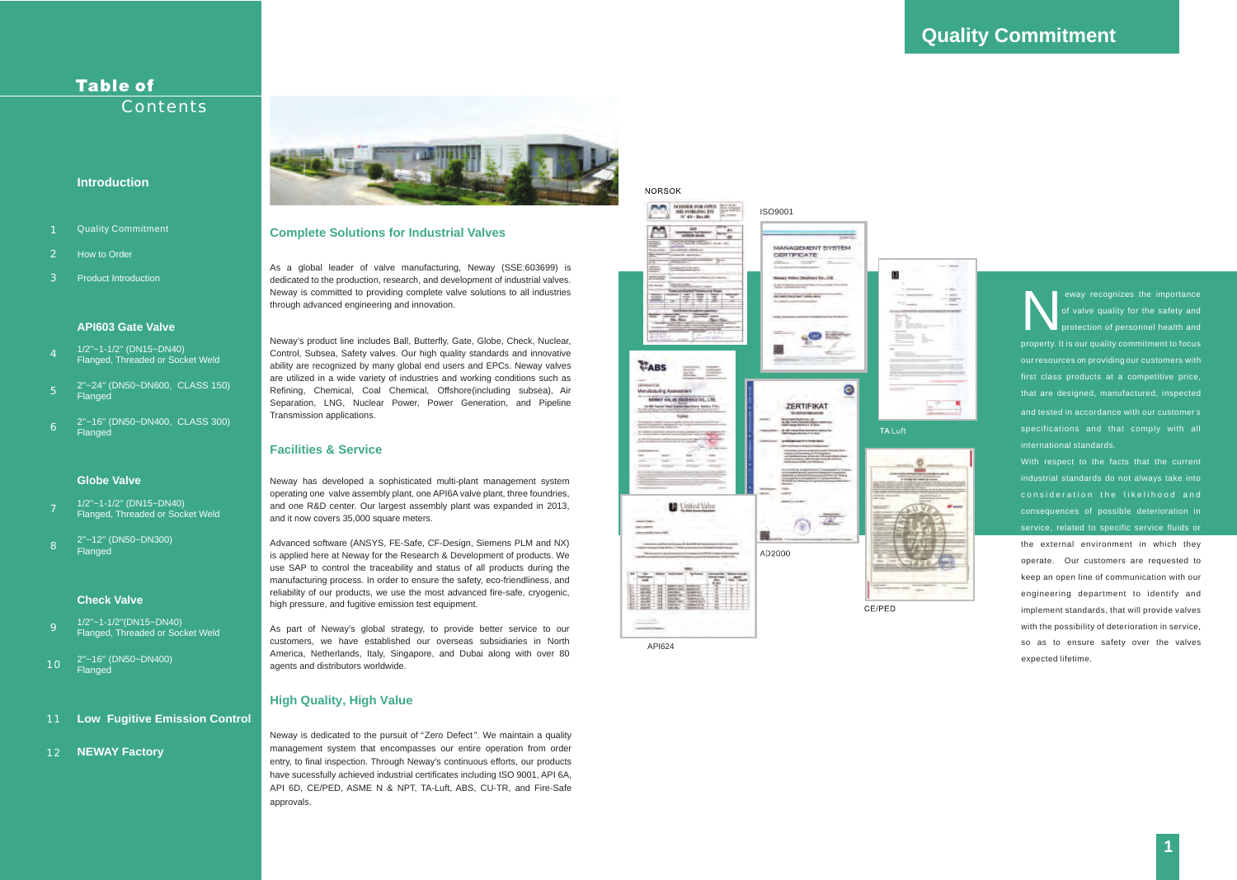### **Table of Contents**

### **Introduction**

- **Quality Commitment**
- $\overline{2}$ How to Order
- $\mathbf{R}$ Product Introduction

# **Quality Commitment**



### **API603 Gate Valve**

- $\overline{Q}$ 1/2''~1-1/2''(DN15~DN40) Flanged, Threaded or Socket Weld
- 10 2''~16'' (DN50~DN400) **Flanged**
- 11 **Low Fugitive Emission Control**
- 12 **NEWAY Factory**



### **Check Valve**

### **Globe Valve**

eway recognizes the importance<br>
of valve quality for the safety and<br>
protection of personnel health and<br>
proporty it is our quality commitment to focus protection of personnel health and property. It is our quality commitment to focus our resources on providing our customers with first class products at a competitive price, that are desig ned, manufactured, inspected and tested in accordance with our customer's specifications and that comply with all international standards.

API624

With respect to the facts that the current industrial standards do not always take into consideration the likelihood and consequences of possible deterioration in service, related to specific service fluids or the external environment in which they operate. Our customers are requested to keep an open line of communication with our engineering department to identify and implement standards, that will provide valves with the possibility of deterioration in service, so as to ensure safety over the valves expected lifetime.

As a global leader of valve manufacturing, Neway (SSE:603699) is dedicated to the production, research, and development of industrial valves. Neway is committed to providing complete valve solutions to all industries through advanced engineering and innovation.

- 1/2''~1-1/2'' (DN15~DN40)  $\frac{1}{2}$   $\frac{1}{2}$   $\frac{1}{2}$   $\frac{1}{2}$   $\frac{1}{2}$   $\frac{1}{2}$   $\frac{1}{2}$   $\frac{1}{2}$   $\frac{1}{2}$   $\frac{1}{2}$   $\frac{1}{2}$   $\frac{1}{2}$   $\frac{1}{2}$   $\frac{1}{2}$   $\frac{1}{2}$   $\frac{1}{2}$   $\frac{1}{2}$   $\frac{1}{2}$   $\frac{1}{2}$   $\frac{1}{2}$   $\frac{1}{2}$   $\frac{1}{2}$
- 5 2''~24'' (DN50~DN600, CLASS 150) **Flanged**
- 6 2''~16'' (DN50~DN400, CLASS 300) Flanged

- 7 1/2''~1-1/2'' (DN15~DN40) Flanged, Threaded or Socket Weld
- 8 2''~12'' (DN50~DN300) Flanged

Neway's product line includes Ball, Butterfly, Gate, Globe, Check, Nuclear, Control, Subsea, Safety valves. Our high quality standards and innovative ability are recognized by many global end users and EPCs. Neway valves are utilized in a wide variety of industries and working conditions such as Refining, Chemical, Coal Chemical, Offshore(including subsea), Air Separation, LNG, Nuclear Power, Power Generation, and Pipeline Transmission applications.

Neway is dedicated to the pursuit of "Zero Defect". We maintain a quality management system that encompasses our entire operation from order entry, to final inspection. Through Neway's continuous efforts, our products have sucessfully achieved industrial certificates including ISO 9001, API 6A, API 6D, CE/PED, ASME N & NPT, TA-Luft, ABS, CU-TR, and Fire-Safe approvals.



Neway has developed a sophisticated multi-plant management system operating one valve assembly plant, one API6A valve plant, three foundries, and one R&D center. Our largest assembly plant was expanded in 2013, and it now covers 35,000 square meters.

Advanced software (ANSYS, FE-Safe, CF-Design, Siemens PLM and NX) is applied here at Neway for the Research & Development of products. We use SAP to control the traceability and status of all products during the manufacturing process. In order to ensure the safety, eco-friendliness, and reliability of our products, we use the most advanced fire-safe, cryogenic, high pressure, and fugitive emission test equipment.

As part of Neway's global strategy, to provide better service to our customers, we have established our overseas subsidiaries in North America, Netherlands, Italy, Singapore, and Dubai along with over 80 agents and distributors worldwide.

### **Complete Solutions for Industrial Valves**

### **Facilities & Service**

### **High Quality, High Value**

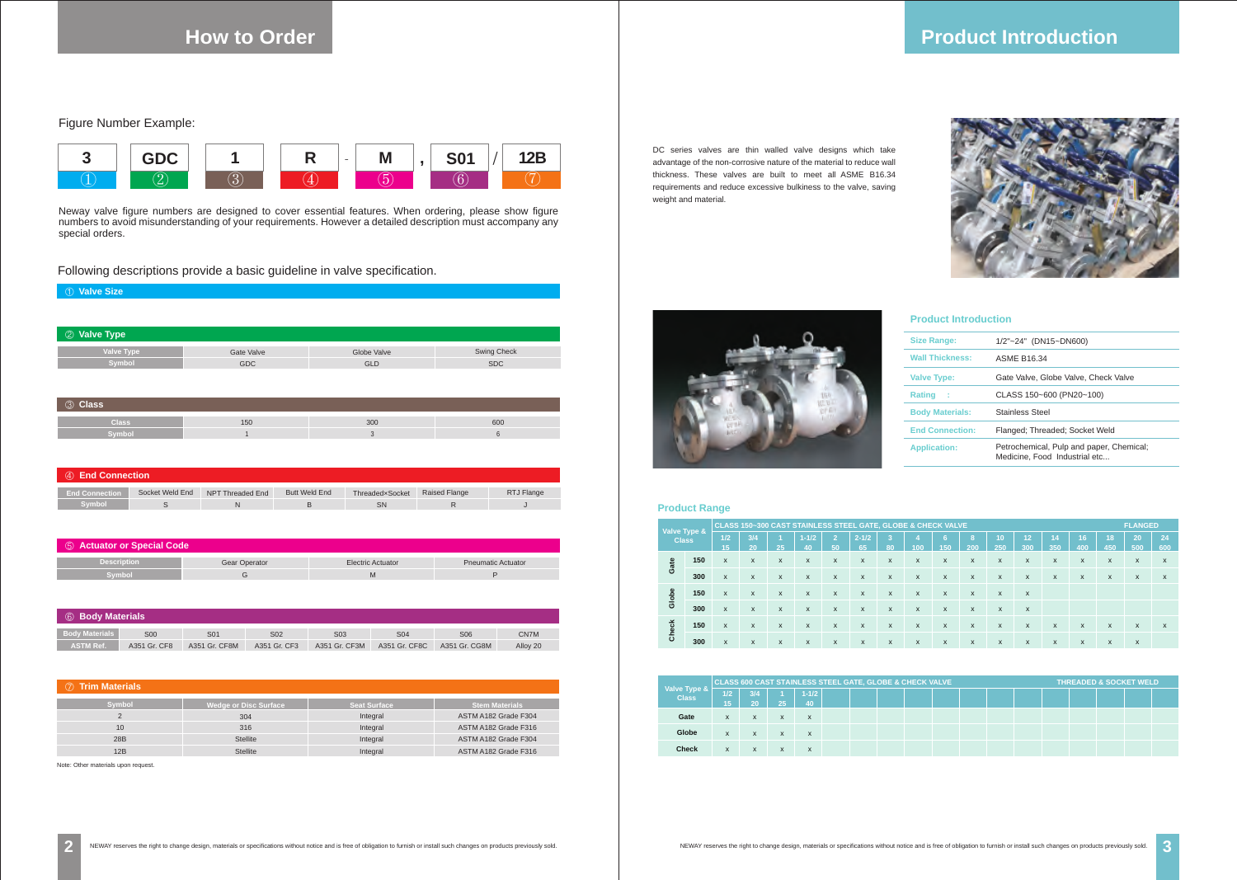**2**

**How to Order**

### ① **Valve Size**

| 4 Bind Connection     |                 |                  |                      |                 |                      |            |  |  |  |  |
|-----------------------|-----------------|------------------|----------------------|-----------------|----------------------|------------|--|--|--|--|
| <b>End Connection</b> | Socket Weld End | NPT Threaded End | <b>Butt Weld End</b> | ThreadedxSocket | <b>Raised Flange</b> | RTJ Flange |  |  |  |  |
| <b>Symbol</b>         |                 |                  |                      | SN              |                      |            |  |  |  |  |



Neway valve figure numbers are designed to cover essential features. When ordering, please show figure numbers to avoid misunderstanding of your requirements. However a detailed description must accompany any special orders.

Figure Number Example:

Following descriptions provide a basic guideline in valve specification.

| 2 Valve Type |            |             |                    |  |  |  |  |  |  |  |
|--------------|------------|-------------|--------------------|--|--|--|--|--|--|--|
| Valve Type   | Gate Valve | Globe Valve | <b>Swing Check</b> |  |  |  |  |  |  |  |
| Symbol       | <b>GDC</b> | <b>GLD</b>  | <b>SDC</b>         |  |  |  |  |  |  |  |

| 5 Actuator or Special Code |                      |                   |                           |  |  |  |  |  |  |  |
|----------------------------|----------------------|-------------------|---------------------------|--|--|--|--|--|--|--|
| <b>Description</b>         | <b>Gear Operator</b> | Electric Actuator | <b>Pneumatic Actuator</b> |  |  |  |  |  |  |  |
| Svmbol                     |                      |                   |                           |  |  |  |  |  |  |  |

| 6 Body Materials      |              |                |              |                  |               |                 |          |  |
|-----------------------|--------------|----------------|--------------|------------------|---------------|-----------------|----------|--|
| <b>Body Materials</b> | <b>S00</b>   | S <sub>0</sub> | S02          | S <sub>0</sub> 3 | S04           | S <sub>06</sub> | CN7M     |  |
| <b>ASTM Ref.</b>      | A351 Gr. CF8 | A351 Gr. CF8M  | A351 Gr. CF3 | A351 Gr. CF3M    | A351 Gr. CF8C | A351 Gr. CG8M   | Alloy 20 |  |

Note: Other materials upon request.

| 3 Class             |     |     |     |  |  |  |  |  |  |
|---------------------|-----|-----|-----|--|--|--|--|--|--|
| <b>Class</b>        | 150 | 300 | 600 |  |  |  |  |  |  |
| Symbol <sup>'</sup> |     |     |     |  |  |  |  |  |  |

## **Product Introduction**



DC series valves are thin walled valve designs which take advantage of the non-corrosive nature of the material to reduce wall thickness. These valves are built to meet all ASME B16.34 requirements and reduce excessive bulkiness to the valve, saving weight and material.



# Size<br>Wal

|                      |     |     |    | <b>CLASS 600 CAST STAINLESS STEEL GATE, GLOBE &amp; CHECK VALVE</b> |  |  |  |  | <b>THREADED &amp; SOCKET WELD</b> |  |  |  |  |
|----------------------|-----|-----|----|---------------------------------------------------------------------|--|--|--|--|-----------------------------------|--|--|--|--|
| Valve Type & $\vert$ | 1/2 | 3/4 |    | $1 - 1/2$                                                           |  |  |  |  |                                   |  |  |  |  |
|                      | 15  | 20  | 25 | 40                                                                  |  |  |  |  |                                   |  |  |  |  |
| Gate                 | X   | x   | X  | X                                                                   |  |  |  |  |                                   |  |  |  |  |
| Globe                | X   | x   | X  | x                                                                   |  |  |  |  |                                   |  |  |  |  |
| <b>Check</b>         | X   | X   | X  | X                                                                   |  |  |  |  |                                   |  |  |  |  |

### ⑦ **Trim Materials Symbol** 2 10 **Wedge or Disc Surface** 304 316 Stellite **Seat Surface** Integral Integral Integral **Stem Materials** ASTM A182 Grade F304 ASTM A182 Grade F316 ASTM A182 Grade F316 28B Stellite Stellite Integral ASTM A182 Grade F304 12B

|       | Valve Type & |              | <b>CLASS 150~300 CAST STAINLESS STEEL GATE, GLOBE &amp; CHECK VALVE</b> |    |                 |              |                 |                           |                           |                           |                           |           |              | <b>FLANGED</b> |              |           |              |              |
|-------|--------------|--------------|-------------------------------------------------------------------------|----|-----------------|--------------|-----------------|---------------------------|---------------------------|---------------------------|---------------------------|-----------|--------------|----------------|--------------|-----------|--------------|--------------|
|       | <b>Class</b> | 1/2<br>15    | 3/4<br>20                                                               | 25 | $1 - 1/2$<br>40 | (2)<br>50    | $2 - 1/2$<br>65 | 3<br>80                   | 100                       | 6<br>150                  | 8<br>200                  | 10<br>250 | 12<br>300    | 14<br>350      | 16<br>400    | 18<br>450 | 20<br>500    | 24<br>600    |
| Gate  | 150          | X            | X                                                                       | X  | X               | X            | X               | X                         | X                         | X                         | X                         | X         | X            | X              | X            | X         | X            | X            |
|       | 300          | X            | X                                                                       | X  | X               | X            | X               | X                         | X                         | X                         | X                         | X         | X            | X              | X            | X         | X            | X            |
| Globe | 150          | $\mathsf{x}$ | X                                                                       | X  | $\mathsf{x}$    | $\mathsf{x}$ | $\mathsf{x}$    | $\boldsymbol{\mathsf{x}}$ | $\boldsymbol{\mathsf{x}}$ | $\boldsymbol{\mathsf{x}}$ | $\boldsymbol{\mathsf{x}}$ | X         | X            |                |              |           |              |              |
|       | 300          | X            | X                                                                       | X  | X               | $\mathsf{x}$ | $\mathsf{x}$    | $\boldsymbol{\mathsf{x}}$ | X                         | X                         | X                         | X         | $\mathsf{x}$ |                |              |           |              |              |
| Check | 150          | X            | X                                                                       | X  | X               | $\mathsf{x}$ | $\mathsf{x}$    | $\boldsymbol{\mathsf{x}}$ | $\boldsymbol{\mathsf{x}}$ | X                         | $\boldsymbol{\mathsf{x}}$ | X         | X            | X              | $\mathsf{x}$ | X         | X            | $\mathsf{x}$ |
|       | 300          | X            | X                                                                       | X  | X               | X            | X               | X                         | X                         | X                         | X                         | X         | X            | X              | $\mathsf{x}$ | X         | $\mathsf{x}$ |              |

### **Product Range**

| <b>Size Range:</b>     | $1/2"$ ~24" (DN15~DN600)                                                  |
|------------------------|---------------------------------------------------------------------------|
| <b>Wall Thickness:</b> | <b>ASME B16.34</b>                                                        |
| <b>Valve Type:</b>     | Gate Valve, Globe Valve, Check Valve                                      |
| <b>Rating</b><br>÷     | CLASS 150~600 (PN20~100)                                                  |
| <b>Body Materials:</b> | <b>Stainless Steel</b>                                                    |
| <b>End Connection:</b> | Flanged; Threaded; Socket Weld                                            |
| <b>Application:</b>    | Petrochemical, Pulp and paper, Chemical;<br>Medicine, Food Industrial etc |

### **Product Introduction**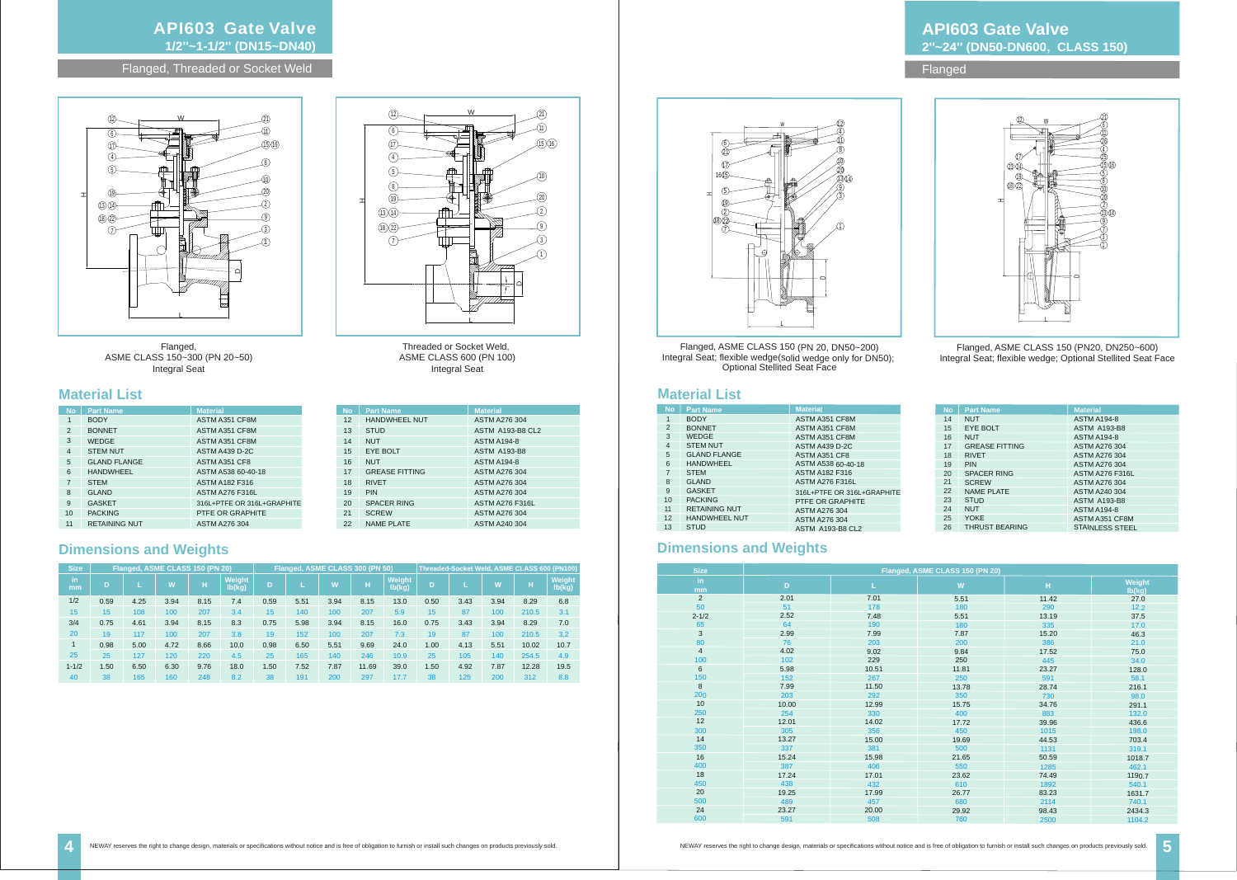### **API603 Gate Valve 1/2''~1-1/2'' (DN15~DN40)**

Flanged, Threaded or Socket Weld



Flanged, ASME CLASS 150~300 (PN 20~50) Integral Seat

Threaded or Socket Weld, ASME CLASS 600 (PN 100) Integral Seat



12 HANDWHEEL NUT STUD 14 NUT EYE BOLT

17 GREASE FITTING

SCREW 21 22 NAME PLATE

| <b>Size</b> |      |      | Flanged, ASME CLASS 150 (PN 20) |      |                  |      | Flanged, ASME CLASS 300 (PN 50) |      |       |                         | Threaded-Socket Weld, ASME CLASS 600 (PN100) |      |      |          |                  |
|-------------|------|------|---------------------------------|------|------------------|------|---------------------------------|------|-------|-------------------------|----------------------------------------------|------|------|----------|------------------|
| in.<br>mm   | D    |      | $\overline{\mathsf{M}}$         | н    | Weight<br>lb(kg) | D    |                                 | W    | н     | <b>Weight</b><br>lb(kg) | D                                            |      | W    | ш<br>. . | Weight<br>lb(kg) |
| 1/2         | 0.59 | 4.25 | 3.94                            | 8.15 | 7.4              | 0.59 | 5.51                            | 3.94 | 8.15  | 13.0                    | 0.50                                         | 3.43 | 3.94 | 8.29     | 6.8              |
| 15          | 15   | 108  | 100                             | 207  | 3.4              | 15   | 140                             | 100  | 207   | 5.9                     | 15                                           | 87   | 100  | 210.5    | 3.1              |
| 3/4         | 0.75 | 4.61 | 3.94                            | 8.15 | 8.3              | 0.75 | 5.98                            | 3.94 | 8.15  | 16.0                    | 0.75                                         | 3.43 | 3.94 | 8.29     | 7.0              |
| 20          | 19   | 117  | 100                             | 207  | 3.8              | 19   | 152                             | 100  | 207   | 7.3                     | 19                                           | 87   | 100  | 210.5    | 3.2              |
|             | 0.98 | 5.00 | 4.72                            | 8.66 | 10.0             | 0.98 | 6.50                            | 5.51 | 9.69  | 24.0                    | 1.00                                         | 4.13 | 5.51 | 10.02    | 10.7             |
| 25          | 25   | 127  | 120                             | 220  | 4.5              | 25   | 165                             | 140  | 246   | 10.9                    | 25                                           | 105  | 140  | 254.5    | 4.9              |
| $1 - 1/2$   | 1.50 | 6.50 | 6.30                            | 9.76 | 18.0             | 1.50 | 7.52                            | 7.87 | 11.69 | 39.0                    | 1.50                                         | 4.92 | 7.87 | 12.28    | 19.5             |
| 40          | 38   | 165  | 160                             | 248  | 8.2              | 38   | 191                             | 200  | 297   | 17.7                    | 38                                           | 125  | 200  | 312      | 8.8              |

### **Dimensions and Weights**

### **Material List**

RIVET 18 PIN SPACER RING

NUT 16

**No Part Name** 

ASTM A276 304 ASTM A193-B8 CL2 ASTM A194-8 ASTM A193-B8 ASTM A194-8 ASTM A276 304 ASTM A276 304 ASTM A276 304 ASTM A276 F316L ASTM A276 304 ASTM A240 304

13

15

19 20



Flanged, ASME CLASS 150 (PN 20, DN50~200) Flanged, ASME CLASS 150 (PN20, DN250~600) Integral Seat; flexible wedge; Optional Stellited Seat Face

Integral Seat; flexible wedge(solid wedge only for DN50); Optional Stellited Seat Face

| <b>No</b>      | <b>Part Name</b>     | <b>Material</b>            |
|----------------|----------------------|----------------------------|
| 1              | <b>BODY</b>          | ASTM A351 CF8M             |
| 2              | <b>BONNET</b>        | ASTM A351 CF8M             |
| 3              | <b>WEDGE</b>         | ASTM A351 CF8M             |
| $\overline{4}$ | <b>STEM NUT</b>      | <b>ASTM A439 D-2C</b>      |
| 5              | <b>GLAND FLANGE</b>  | ASTM A351 CF8              |
| 6              | <b>HANDWHEEL</b>     | ASTM A538 60-40-18         |
| $\overline{7}$ | <b>STEM</b>          | <b>ASTM A182 F316</b>      |
| 8              | <b>GLAND</b>         | <b>ASTM A276 F316L</b>     |
| 9              | <b>GASKET</b>        | 316L+PTFE OR 316L+GRAPHITE |
| 10             | <b>PACKING</b>       | PTFE OR GRAPHITE           |
| 11             | <b>RETAINING NUT</b> | <b>ASTM A276 304</b>       |

### **API603 Gate Valve 2''~24'' (DN50-DN600, CLASS 150)**

### Flanged

### **Material List**

### **Dimensions and Weights**

| <b>No</b>      | <b>Part Name</b>     | <b>Material</b>            |
|----------------|----------------------|----------------------------|
| 1              | <b>BODY</b>          | ASTM A351 CF8M             |
| $\overline{2}$ | <b>BONNET</b>        | ASTM A351 CF8M             |
| 3              | <b>WEDGE</b>         | ASTM A351 CF8M             |
| $\overline{4}$ | <b>STEM NUT</b>      | ASTM A439 D-2C             |
| 5              | <b>GLAND FLANGE</b>  | ASTM A351 CF8              |
| 6              | <b>HANDWHEEL</b>     | ASTM A538 60-40-18         |
| $\overline{7}$ | <b>STEM</b>          | <b>ASTM A182 F316</b>      |
| 8              | <b>GLAND</b>         | <b>ASTM A276 F316L</b>     |
| 9              | <b>GASKET</b>        | 316L+PTFE OR 316L+GRAPHITE |
| 10             | <b>PACKING</b>       | PTFE OR GRAPHITE           |
| 11             | <b>RETAINING NUT</b> | <b>ASTM A276 304</b>       |
| 12             | <b>HANDWHEEL NUT</b> | ASTM A276 304              |
| 13             | <b>STUD</b>          | <b>ASTM A193-B8 CL2</b>    |

| <b>No</b> | <b>Part Name</b>      | <b>Material</b>        |
|-----------|-----------------------|------------------------|
| 14        | <b>NUT</b>            | <b>ASTM A194-8</b>     |
| 15        | EYE BOLT              | <b>ASTM A193-B8</b>    |
| 16        | <b>NUT</b>            | <b>ASTM A194-8</b>     |
| 17        | <b>GREASE FITTING</b> | ASTM A276 304          |
| 18        | <b>RIVET</b>          | <b>ASTM A276 304</b>   |
| 19        | <b>PIN</b>            | ASTM A276 304          |
| 20        | <b>SPACER RING</b>    | <b>ASTM A276 F316L</b> |
| 21        | <b>SCREW</b>          | ASTM A276 304          |
| 22        | <b>NAME PLATE</b>     | <b>ASTM A240 304</b>   |
| 23        | <b>STUD</b>           | <b>ASTM A193-B8</b>    |
| 24        | <b>NUT</b>            | <b>ASTM A194-8</b>     |
| 25        | <b>YOKE</b>           | ASTM A351 CF8M         |
| 26        | <b>THRUST BEARING</b> | <b>STAINLESS STEEL</b> |

| <b>Size</b>    |       | Flanged, ASME CLASS 150 (PN 20) |       |       |                  |  |  |  |  |
|----------------|-------|---------------------------------|-------|-------|------------------|--|--|--|--|
| in.<br>mm      | D     | L                               | W     | H     | Weight<br>lb(kg) |  |  |  |  |
| $\overline{2}$ | 2.01  | 7.01                            | 5.51  | 11.42 | 27.0             |  |  |  |  |
| 50             | 51    | 178                             | 180   | 290   | 12.2             |  |  |  |  |
| $2 - 1/2$      | 2.52  | 7.48                            | 5.51  | 13.19 | 37.5             |  |  |  |  |
| 65             | 64    | 190                             | 180   | 335   | 17.0             |  |  |  |  |
| 3              | 2.99  | 7.99                            | 7.87  | 15.20 | 46.3             |  |  |  |  |
| 80             | 76    | 203                             | 200   | 386   | 21.0             |  |  |  |  |
| $\overline{4}$ | 4.02  | 9.02                            | 9.84  | 17.52 | 75.0             |  |  |  |  |
| 100            | 102   | 229                             | 250   | 445   | 34.0             |  |  |  |  |
| 6              | 5.98  | 10.51                           | 11.81 | 23.27 | 128.0            |  |  |  |  |
| 150            | 152   | 267                             | 250   | 591   | 58.1             |  |  |  |  |
| 8              | 7.99  | 11.50                           | 13.78 | 28.74 | 216.1            |  |  |  |  |
| 200            | 203   | 292                             | 350   | 730   | 98.0             |  |  |  |  |
| 10             | 10.00 | 12.99                           | 15.75 | 34.76 | 291.1            |  |  |  |  |
| 250            | 254   | 330                             | 400   | 883   | 132.0            |  |  |  |  |
| 12             | 12.01 | 14.02                           | 17.72 | 39.96 | 436.6            |  |  |  |  |
| 300            | 305   | 356                             | 450   | 1015  | 198.0            |  |  |  |  |
| 14             | 13.27 | 15.00                           | 19.69 | 44.53 | 703.4            |  |  |  |  |
| 350            | 337   | 381                             | 500   | 1131  | 319.1            |  |  |  |  |
| 16             | 15.24 | 15.98                           | 21.65 | 50.59 | 1018.7           |  |  |  |  |
| 400            | 387   | 406                             | 550   | 1285  | 462.1            |  |  |  |  |
| 18             | 17.24 | 17.01                           | 23.62 | 74.49 | 1190.7           |  |  |  |  |
| 450            | 438   | 432                             | 610   | 1892  | 540.1            |  |  |  |  |
| 20             | 19.25 | 17.99                           | 26.77 | 83.23 | 1631.7           |  |  |  |  |
| 500            | 489   | 457                             | 680   | 2114  | 740.1            |  |  |  |  |
| 24             | 23.27 | 20.00                           | 29.92 | 98.43 | 2434.3           |  |  |  |  |
| 600            | 591   | 508                             | 760   | 2500  | 1104.2           |  |  |  |  |

ARICH NEWAY reserves the right to change design, materials or specifications without notice and is free of obligation to furnish or install such changes on products previously sold. NEWAY reserves the right to change desig

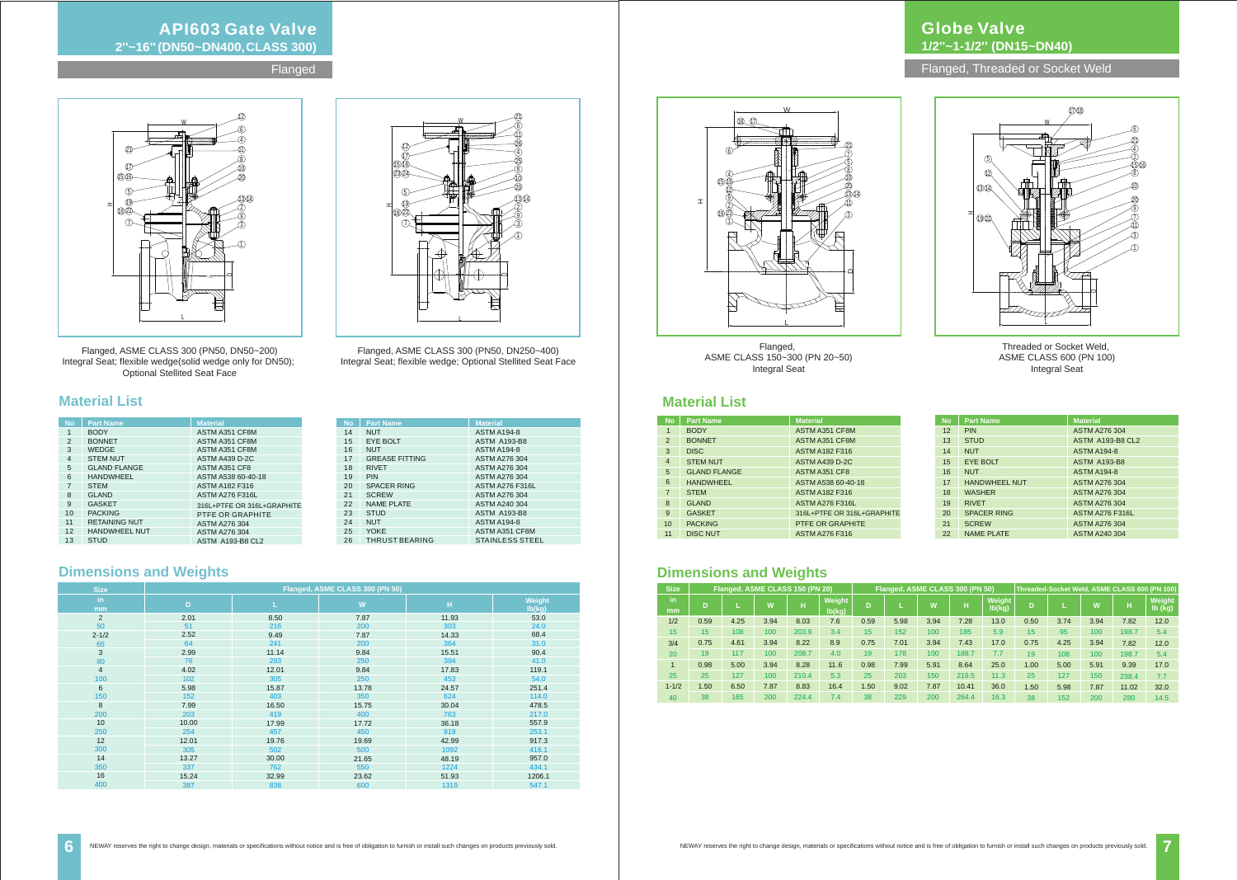| <b>Size</b>  |      |      | Flanged, ASME CLASS 150 (PN 20) |       |                         | Flanged, ASME CLASS 300 (PN 50) |      |      |       |                         |      |      |      |       | Threaded-Socket Weld, ASME CLASS 600 (PN 100) |
|--------------|------|------|---------------------------------|-------|-------------------------|---------------------------------|------|------|-------|-------------------------|------|------|------|-------|-----------------------------------------------|
| in.<br>mm    | D    |      | W                               | н     | <b>Weight</b><br>lb(kg) | D                               |      | W    | н     | <b>Weight</b><br>lb(kg) | D    |      | W    | H     | Weight<br>lb (kg)                             |
| 1/2          | 0.59 | 4.25 | 3.94                            | 8.03  | 7.6                     | 0.59                            | 5.98 | 3.94 | 7.28  | 13.0                    | 0.50 | 3.74 | 3.94 | 7.82  | 12.0                                          |
| 15           | 15   | 108  | 100                             | 203.9 | 3.4                     | 15                              | 152  | 100  | 185   | 5.9                     | 15   | 95   | 100  | 198.7 | 5.4                                           |
| 3/4          | 0.75 | 4.61 | 3.94                            | 8.22  | 8.9                     | 0.75                            | 7.01 | 3.94 | 7.43  | 17.0                    | 0.75 | 4.25 | 3.94 | 7.82  | 12.0                                          |
| 20           | 19   | 117  | 100                             | 208.7 | 4.0                     | 19                              | 178  | 100  | 188.7 | 7.7                     | 19   | 108  | 100  | 198.7 | 5.4                                           |
| $\mathbf{1}$ | 0.98 | 5.00 | 3.94                            | 8.28  | 11.6                    | 0.98                            | 7.99 | 5.91 | 8.64  | 25.0                    | 1.00 | 5.00 | 5.91 | 9.39  | 17.0                                          |
| 25           | 25   | 127  | 100                             | 210.4 | 5.3                     | 25                              | 203  | 150  | 219.5 | 11.3                    | 25   | 127  | 150  | 238.4 | 7.7                                           |
| $1 - 1/2$    | 1.50 | 6.50 | 7.87                            | 8.83  | 16.4                    | 1.50                            | 9.02 | 7.87 | 10.41 | 36.0                    | 1.50 | 5.98 | 7.87 | 11.02 | 32.0                                          |
| 40           | 38   | 165  | 200                             | 224.4 | 7.4                     | 38                              | 229  | 200  | 264.4 | 16.3                    | 38   | 152  | 200  | 280   | 14.5                                          |

### **Dimensions and Weights**

### **Globe Valve 1/2''~1-1/2'' (DN15~DN40)**

Flanged, ASME CLASS 150~300 (PN 20~50) Integral Seat

Flanged, Threaded or Socket Weld

### **Material List**



Threaded or Socket Weld, ASME CLASS 600 (PN 100) Integral Seat

| <b>No</b>      | <b>Part Name</b>    | <b>Material</b>            |
|----------------|---------------------|----------------------------|
| $\mathbf 1$    | <b>BODY</b>         | ASTM A351 CF8M             |
| 2              | <b>BONNET</b>       | ASTM A351 CF8M             |
| 3              | <b>DISC</b>         | <b>ASTM A182 F316</b>      |
| $\overline{4}$ | <b>STEM NUT</b>     | ASTM A439 D-2C             |
| 5              | <b>GLAND FLANGE</b> | ASTM A351 CF8              |
| 6              | <b>HANDWHEEL</b>    | ASTM A538 60-40-18         |
| $\overline{7}$ | <b>STEM</b>         | <b>ASTM A182 F316</b>      |
| 8              | <b>GLAND</b>        | <b>ASTM A276 F316L</b>     |
| 9              | <b>GASKET</b>       | 316L+PTFE OR 316L+GRAPHITE |
| 10             | <b>PACKING</b>      | PTFE OR GRAPHITE           |
| 11             | <b>DISC NUT</b>     | <b>ASTM A276 F316</b>      |

| <b>No</b> | <b>Part Name</b>     | <b>Material</b>         |
|-----------|----------------------|-------------------------|
| 12        | <b>PIN</b>           | <b>ASTM A276 304</b>    |
| 13        | <b>STUD</b>          | <b>ASTM A193-B8 CL2</b> |
| 14        | <b>NUT</b>           | <b>ASTM A194-8</b>      |
| 15        | <b>EYE BOLT</b>      | <b>ASTM A193-B8</b>     |
| 16        | <b>NUT</b>           | <b>ASTM A194-8</b>      |
| 17        | <b>HANDWHEEL NUT</b> | <b>ASTM A276 304</b>    |
| 18        | <b>WASHER</b>        | <b>ASTM A276 304</b>    |
| 19        | <b>RIVET</b>         | <b>ASTM A276 304</b>    |
| 20        | <b>SPACER RING</b>   | <b>ASTM A276 F316L</b>  |
| 21        | <b>SCREW</b>         | <b>ASTM A276 304</b>    |
| 22        | <b>NAME PLATE</b>    | ASTM A240 304           |



### **API603 Gate Valve 2''~16'' (DN50~DN400, CLASS 300)**

**Flanged** 

### **Material List**

| <b>No</b>      | <b>Part Name</b>     | <b>Material</b>            |
|----------------|----------------------|----------------------------|
| $\mathbf{1}$   | <b>BODY</b>          | ASTM A351 CF8M             |
| 2              | <b>BONNET</b>        | ASTM A351 CF8M             |
| 3              | <b>WEDGE</b>         | ASTM A351 CF8M             |
| $\overline{4}$ | <b>STEM NUT</b>      | <b>ASTM A439 D-2C</b>      |
| 5              | <b>GLAND FLANGE</b>  | ASTM A351 CF8              |
| 6              | <b>HANDWHEEL</b>     | ASTM A538 60-40-18         |
| $\overline{7}$ | <b>STEM</b>          | <b>ASTM A182 F316</b>      |
| 8              | <b>GLAND</b>         | <b>ASTM A276 F316L</b>     |
| 9              | <b>GASKET</b>        | 316L+PTFE OR 316L+GRAPHITE |
| 10             | <b>PACKING</b>       | PTFE OR GRAPHITE           |
| 11             | <b>RETAINING NUT</b> | ASTM A276 304              |
| 12             | <b>HANDWHEEL NUT</b> | ASTM A276 304              |
| 13             | <b>STUD</b>          | <b>ASTM A193-B8 CL2</b>    |

| <b>No</b> | <b>Part Name</b>      | <b>Material</b>        |
|-----------|-----------------------|------------------------|
| 14        | <b>NUT</b>            | <b>ASTM A194-8</b>     |
| 15        | <b>EYE BOLT</b>       | <b>ASTM A193-B8</b>    |
| 16        | <b>NUT</b>            | <b>ASTM A194-8</b>     |
| 17        | <b>GREASE FITTING</b> | <b>ASTM A276 304</b>   |
| 18        | <b>RIVET</b>          | ASTM A276 304          |
| 19        | <b>PIN</b>            | ASTM A276 304          |
| 20        | <b>SPACER RING</b>    | <b>ASTM A276 F316L</b> |
| 21        | <b>SCREW</b>          | ASTM A276 304          |
| 22        | <b>NAME PLATE</b>     | ASTM A240 304          |
| 23        | <b>STUD</b>           | <b>ASTM A193-B8</b>    |
| 24        | <b>NUT</b>            | <b>ASTM A194-8</b>     |
| 25        | <b>YOKE</b>           | ASTM A351 CF8M         |
| 26        | <b>THRUST BEARING</b> | <b>STAINLESS STEEL</b> |

### **Dimensions and Weights**

| <b>Size</b>    | Flanged, ASME CLASS 300 (PN 50) |       |       |       |                  |  |  |  |
|----------------|---------------------------------|-------|-------|-------|------------------|--|--|--|
| in<br>mm       | D                               |       | W     | н     | Weight<br>lb(kg) |  |  |  |
| 2              | 2.01                            | 8.50  | 7.87  | 11.93 | 53.0             |  |  |  |
| 50             | 51                              | 216   | 200   | 303   | 24.0             |  |  |  |
| $2 - 1/2$      | 2.52                            | 9.49  | 7.87  | 14.33 | 68.4             |  |  |  |
| 65             | 64                              | 241   | 200   | 364   | 31.0             |  |  |  |
| 3              | 2.99                            | 11.14 | 9.84  | 15.51 | 90.4             |  |  |  |
| 80             | 76                              | 283   | 250   | 394   | 41.0             |  |  |  |
| $\overline{4}$ | 4.02                            | 12.01 | 9.84  | 17.83 | 119.1            |  |  |  |
| 100            | 102                             | 305   | 250   | 453   | 54.0             |  |  |  |
| 6              | 5.98                            | 15.87 | 13.78 | 24.57 | 251.4            |  |  |  |
| 150            | 152                             | 403   | 350   | 624   | 114.0            |  |  |  |
| 8              | 7.99                            | 16.50 | 15.75 | 30.04 | 478.5            |  |  |  |
| 200            | 203                             | 419   | 400   | 763   | 217.0            |  |  |  |
| 10             | 10.00                           | 17.99 | 17.72 | 36.18 | 557.9            |  |  |  |
| 250            | 254                             | 457   | 450   | 919   | 253.1            |  |  |  |
| 12             | 12.01                           | 19.76 | 19.69 | 42.99 | 917.3            |  |  |  |
| 300            | 305                             | 502   | 500   | 1092  | 416.1            |  |  |  |
| 14             | 13.27                           | 30.00 | 21.65 | 48.19 | 957.0            |  |  |  |
| 350            | 337                             | 762   | 550   | 1224  | 434.1            |  |  |  |
| 16             | 15.24                           | 32.99 | 23.62 | 51.93 | 1206.1           |  |  |  |
| 400            | 387                             | 838   | 600   | 1319  | 547.1            |  |  |  |





Flanged, ASME CLASS 300 (PN50, DN50~200) Flanged, ASME CLASS 300 (PN50, DN250~400) Integral Seat; flexible wedge; Optional Stellited Seat Face

Integral Seat; flexible wedge(solid wedge only for DN50); Optional Stellited Seat Face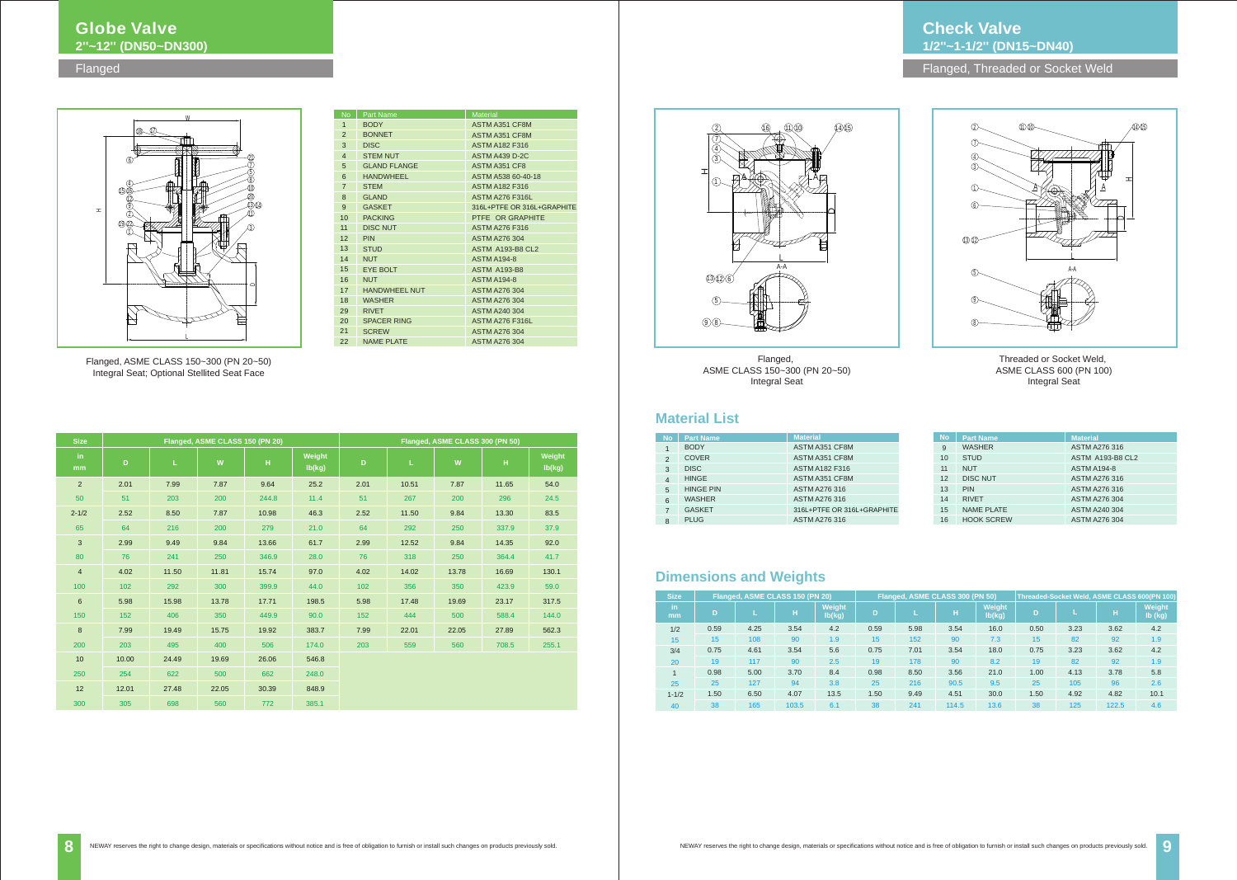



| <b>Size</b>          |      | Flanged, ASME CLASS 150 (PN 20) |       |                  |      | Flanged, ASME CLASS 300 (PN 50) |       |                  |      |      |       | Threaded-Socket Weld, ASME CLASS 600(PN 100) |
|----------------------|------|---------------------------------|-------|------------------|------|---------------------------------|-------|------------------|------|------|-------|----------------------------------------------|
| in.<br><sub>mm</sub> | D    |                                 | н     | Weight<br>lb(kg) | D    |                                 | н     | Weight<br>lb(kg) | D    |      | н     | Weight<br>lb (kg)                            |
| 1/2                  | 0.59 | 4.25                            | 3.54  | 4.2              | 0.59 | 5.98                            | 3.54  | 16.0             | 0.50 | 3.23 | 3.62  | 4.2                                          |
| 15                   | 15   | 108                             | 90    | 1.9              | 15   | 152                             | 90    | 7.3              | 15   | 82   | 92    | 1.9                                          |
| 3/4                  | 0.75 | 4.61                            | 3.54  | 5.6              | 0.75 | 7.01                            | 3.54  | 18.0             | 0.75 | 3.23 | 3.62  | 4.2                                          |
| 20                   | 19   | 117                             | 90    | 2.5              | 19   | 178                             | 90    | 8.2              | 19   | 82   | 92    | 1.9                                          |
| $\mathbf{1}$         | 0.98 | 5.00                            | 3.70  | 8.4              | 0.98 | 8.50                            | 3.56  | 21.0             | 1.00 | 4.13 | 3.78  | 5.8                                          |
| 25                   | 25   | 127                             | 94    | 3.8              | 25   | 216                             | 90.5  | 9.5              | 25   | 105  | 96    | 2.6                                          |
| $1 - 1/2$            | 1.50 | 6.50                            | 4.07  | 13.5             | 1.50 | 9.49                            | 4.51  | 30.0             | 1.50 | 4.92 | 4.82  | 10.1                                         |
| 40                   | 38   | 165                             | 103.5 | 6.1              | 38   | 241                             | 114.5 | 13.6             | 38   | 125  | 122.5 | 4.6                                          |

### **Dimensions and Weights**

Flanged, ASME CLASS 150~300 (PN 20~50) Integral Seat



### **Material List**

**Check Valve 1/2''~1-1/2'' (DN15~DN40)**

Flanged, Threaded or Socket Weld

| <b>No</b>      | <b>Part Name</b> | <b>Material</b>            |
|----------------|------------------|----------------------------|
| 1              | <b>BODY</b>      | ASTM A351 CF8M             |
| $\mathfrak{p}$ | <b>COVER</b>     | ASTM A351 CF8M             |
| 3              | <b>DISC</b>      | <b>ASTM A182 F316</b>      |
| 4              | <b>HINGE</b>     | ASTM A351 CF8M             |
| 5              | <b>HINGE PIN</b> | ASTM A276 316              |
| 6              | <b>WASHER</b>    | ASTM A276 316              |
| 7              | <b>GASKET</b>    | 316L+PTFE OR 316L+GRAPHITE |
| 8              | <b>PLUG</b>      | ASTM A276 316              |

| <b>No</b> | <b>Part Name</b>  | <b>Material</b>         |
|-----------|-------------------|-------------------------|
| 9         | <b>WASHER</b>     | <b>ASTM A276 316</b>    |
| 10        | <b>STUD</b>       | <b>ASTM A193-B8 CL2</b> |
| 11        | <b>NUT</b>        | <b>ASTM A194-8</b>      |
| 12        | <b>DISC NUT</b>   | <b>ASTM A276 316</b>    |
| 13        | <b>PIN</b>        | <b>ASTM A276 316</b>    |
| 14        | <b>RIVET</b>      | <b>ASTM A276 304</b>    |
| 15        | <b>NAME PLATE</b> | <b>ASTM A240 304</b>    |
| 16        | <b>HOOK SCREW</b> | <b>ASTM A276 304</b>    |

### **Globe Valve 2''~12'' (DN50~DN300)**

Flanged

| <b>Size</b>    |       |       | Flanged, ASME CLASS 150 (PN 20) |       |                  | Flanged, ASME CLASS 300 (PN 50) |       |       |       |                  |
|----------------|-------|-------|---------------------------------|-------|------------------|---------------------------------|-------|-------|-------|------------------|
| in<br>mm       | D     | L.    | W                               | H     | Weight<br>lb(kg) | D                               | Ĺ     | W     | H     | Weight<br>lb(kg) |
| $\overline{2}$ | 2.01  | 7.99  | 7.87                            | 9.64  | 25.2             | 2.01                            | 10.51 | 7.87  | 11.65 | 54.0             |
| 50             | 51    | 203   | 200                             | 244.8 | 11.4             | 51                              | 267   | 200   | 296   | 24.5             |
| $2 - 1/2$      | 2.52  | 8.50  | 7.87                            | 10.98 | 46.3             | 2.52                            | 11.50 | 9.84  | 13.30 | 83.5             |
| 65             | 64    | 216   | 200                             | 279   | 21.0             | 64                              | 292   | 250   | 337.9 | 37.9             |
| 3              | 2.99  | 9.49  | 9.84                            | 13.66 | 61.7             | 2.99                            | 12.52 | 9.84  | 14.35 | 92.0             |
| 80             | 76    | 241   | 250                             | 346.9 | 28.0             | 76                              | 318   | 250   | 364.4 | 41.7             |
| $\overline{4}$ | 4.02  | 11.50 | 11.81                           | 15.74 | 97.0             | 4.02                            | 14.02 | 13.78 | 16.69 | 130.1            |
| 100            | 102   | 292   | 300                             | 399.9 | 44.0             | 102                             | 356   | 350   | 423.9 | 59.0             |
| $\,6$          | 5.98  | 15.98 | 13.78                           | 17.71 | 198.5            | 5.98                            | 17.48 | 19.69 | 23.17 | 317.5            |
| 150            | 152   | 406   | 350                             | 449.9 | 90.0             | 152                             | 444   | 500   | 588.4 | 144.0            |
| 8              | 7.99  | 19.49 | 15.75                           | 19.92 | 383.7            | 7.99                            | 22.01 | 22.05 | 27.89 | 562.3            |
| 200            | 203   | 495   | 400                             | 506   | 174.0            | 203                             | 559   | 560   | 708.5 | 255.1            |
| 10             | 10.00 | 24.49 | 19.69                           | 26.06 | 546.8            |                                 |       |       |       |                  |
| 250            | 254   | 622   | 500                             | 662   | 248.0            |                                 |       |       |       |                  |
| 12             | 12.01 | 27.48 | 22.05                           | 30.39 | 848.9            |                                 |       |       |       |                  |
| 300            | 305   | 698   | 560                             | 772   | 385.1            |                                 |       |       |       |                  |



Flanged, ASME CLASS 150~300 (PN 20~50) Integral Seat; Optional Stellited Seat Face

| No.             | <b>Part Name</b>     | <b>Material</b>            |
|-----------------|----------------------|----------------------------|
| $\mathbf{1}$    | <b>BODY</b>          | ASTM A351 CF8M             |
| 2               | <b>BONNET</b>        | ASTM A351 CF8M             |
| 3               | <b>DISC</b>          | <b>ASTM A182 F316</b>      |
| $\overline{4}$  | <b>STEM NUT</b>      | <b>ASTM A439 D-2C</b>      |
| 5               | <b>GLAND FLANGE</b>  | ASTM A351 CF8              |
| 6               | <b>HANDWHEEL</b>     | ASTM A538 60-40-18         |
| $\overline{7}$  | <b>STEM</b>          | <b>ASTM A182 F316</b>      |
| 8               | <b>GLAND</b>         | <b>ASTM A276 F316L</b>     |
| 9               | <b>GASKET</b>        | 316L+PTFE OR 316L+GRAPHITE |
| 10              | <b>PACKING</b>       | PTFE OR GRAPHITE           |
| 11              | <b>DISC NUT</b>      | <b>ASTM A276 F316</b>      |
| 12 <sup>2</sup> | <b>PIN</b>           | <b>ASTM A276 304</b>       |
| 13 <sup>2</sup> | <b>STUD</b>          | <b>ASTM A193-B8 CL2</b>    |
| 14              | <b>NUT</b>           | <b>ASTM A194-8</b>         |
| 15 <sup>2</sup> | <b>EYE BOLT</b>      | <b>ASTM A193-B8</b>        |
| 16              | <b>NUT</b>           | <b>ASTM A194-8</b>         |
| 17 <sup>7</sup> | <b>HANDWHEEL NUT</b> | <b>ASTM A276 304</b>       |
| 18              | <b>WASHER</b>        | <b>ASTM A276 304</b>       |
| 29              | <b>RIVET</b>         | <b>ASTM A240 304</b>       |
| 20 <sup>2</sup> | <b>SPACER RING</b>   | <b>ASTM A276 F316L</b>     |
| 21              | <b>SCREW</b>         | <b>ASTM A276 304</b>       |
| 22              | <b>NAME PLATE</b>    | <b>ASTM A276 304</b>       |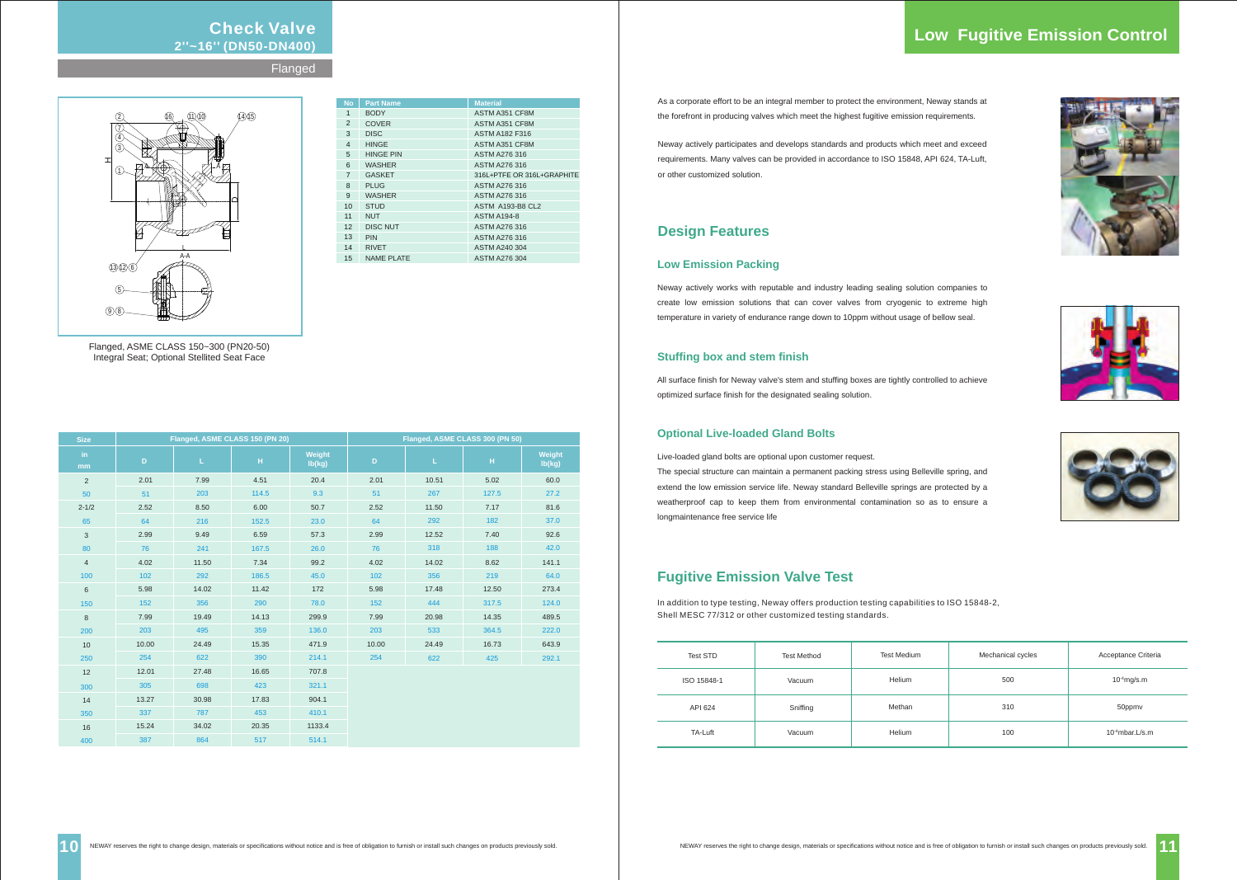### **Check Valve 2''~16'' (DN50-DN400)**

**Flanged** 

| <b>Size</b>    | Flanged, ASME CLASS 150 (PN 20) |       |       |                  | Flanged, ASME CLASS 300 (PN 50) |       |       |                  |
|----------------|---------------------------------|-------|-------|------------------|---------------------------------|-------|-------|------------------|
| in.<br>mm      | D                               | L.    | H     | Weight<br>lb(kg) | $\mathsf D$                     | L.    | н     | Weight<br>lb(kg) |
| $\overline{2}$ | 2.01                            | 7.99  | 4.51  | 20.4             | 2.01                            | 10.51 | 5.02  | 60.0             |
| 50             | 51                              | 203   | 114.5 | 9.3              | 51                              | 267   | 127.5 | 27.2             |
| $2 - 1/2$      | 2.52                            | 8.50  | 6.00  | 50.7             | 2.52                            | 11.50 | 7.17  | 81.6             |
| 65             | 64                              | 216   | 152.5 | 23.0             | 64                              | 292   | 182   | 37.0             |
| 3              | 2.99                            | 9.49  | 6.59  | 57.3             | 2.99                            | 12.52 | 7.40  | 92.6             |
| 80             | 76                              | 241   | 167.5 | 26.0             | 76                              | 318   | 188   | 42.0             |
| $\overline{4}$ | 4.02                            | 11.50 | 7.34  | 99.2             | 4.02                            | 14.02 | 8.62  | 141.1            |
| 100            | 102                             | 292   | 186.5 | 45.0             | 102                             | 356   | 219   | 64.0             |
| 6              | 5.98                            | 14.02 | 11.42 | 172              | 5.98                            | 17.48 | 12.50 | 273.4            |
| 150            | 152                             | 356   | 290   | 78.0             | 152                             | 444   | 317.5 | 124.0            |
| 8              | 7.99                            | 19.49 | 14.13 | 299.9            | 7.99                            | 20.98 | 14.35 | 489.5            |
| 200            | 203                             | 495   | 359   | 136.0            | 203                             | 533   | 364.5 | 222.0            |
| 10             | 10.00                           | 24.49 | 15.35 | 471.9            | 10.00                           | 24.49 | 16.73 | 643.9            |
| 250            | 254                             | 622   | 390   | 214.1            | 254                             | 622   | 425   | 292.1            |
| 12             | 12.01                           | 27.48 | 16.65 | 707.8            |                                 |       |       |                  |
| 300            | 305                             | 698   | 423   | 321.1            |                                 |       |       |                  |
| 14             | 13.27                           | 30.98 | 17.83 | 904.1            |                                 |       |       |                  |
| 350            | 337                             | 787   | 453   | 410.1            |                                 |       |       |                  |
| 16             | 15.24                           | 34.02 | 20.35 | 1133.4           |                                 |       |       |                  |
| 400            | 387                             | 864   | 517   | 514.1            |                                 |       |       |                  |



Flanged, ASME CLASS 150~300 (PN20-50) Integral Seat; Optional Stellited Seat Face

### **Low Emission Packing**

Neway actively works with reputable and industry leading sealing solution companies to create low emission solutions that can cover valves from cryogenic to extreme high temperature in variety of endurance range down to 10ppm without usage of bellow seal.

### **Stuffing box and stem finish**

All surface finish for Neway valve's stem and stuffing boxes are tightly controlled to achieve optimized surface finish for the designated sealing solution.

### **Optional Live-loaded Gland Bolts**

Live-loaded gland bolts are optional upon customer request.

The special structure can maintain a permanent packing stress using Belleville spring, and extend the low emission service life. Neway standard Belleville springs are protected by a weatherproof cap to keep them from environmental contamination so as to ensure a longmaintenance free service life

| <b>No</b>      | <b>Part Name</b>  | <b>Material</b>            |  |  |
|----------------|-------------------|----------------------------|--|--|
| 1              | <b>BODY</b>       | <b>ASTM A351 CF8M</b>      |  |  |
| 2              | <b>COVER</b>      | ASTM A351 CF8M             |  |  |
| 3              | <b>DISC</b>       | <b>ASTM A182 F316</b>      |  |  |
| $\overline{4}$ | <b>HINGE</b>      | ASTM A351 CF8M             |  |  |
| 5              | <b>HINGE PIN</b>  | ASTM A276 316              |  |  |
| 6              | <b>WASHER</b>     | ASTM A276 316              |  |  |
| $\overline{7}$ | <b>GASKET</b>     | 316L+PTFE OR 316L+GRAPHITE |  |  |
| 8              | <b>PLUG</b>       | ASTM A276 316              |  |  |
| 9              | <b>WASHER</b>     | ASTM A276 316              |  |  |
| 10             | <b>STUD</b>       | <b>ASTM A193-B8 CL2</b>    |  |  |
| 11             | <b>NUT</b>        | <b>ASTM A194-8</b>         |  |  |
| 12             | <b>DISC NUT</b>   | ASTM A276 316              |  |  |
| 13             | <b>PIN</b>        | <b>ASTM A276 316</b>       |  |  |
| 14             | <b>RIVET</b>      | <b>ASTM A240 304</b>       |  |  |
| 15             | <b>NAME PLATE</b> | <b>ASTM A276 304</b>       |  |  |

### **Design Features**

### **Fugitive Emission Valve Test**

In addition to type testing, Neway offers production testing capabilities to ISO 15848-2, Shell MESC 77/312 or other customized testing standards.

| Test STD    | <b>Test Method</b> | <b>Test Medium</b> | Mechanical cycles | Acceptance Criteria |
|-------------|--------------------|--------------------|-------------------|---------------------|
| ISO 15848-1 | Vacuum             | Helium             | 500               | $10-4$ mg/s.m       |
| API 624     | Sniffing           | Methan             | 310               | 50ppmv              |
| TA-Luft     | Vacuum             | Helium             | 100               | $10-4$ mbar. L/s. m |

### **Low Fugitive Emission Control**









As a corporate effort to be an integral member to protect the environment, Neway stands at the forefront in producing valves which meet the highest fugitive emission requirements.

Neway actively participates and develops standards and products which meet and exceed requirements. Many valves can be provided in accordance to ISO 15848, API 624, TA-Luft, or other customized solution.